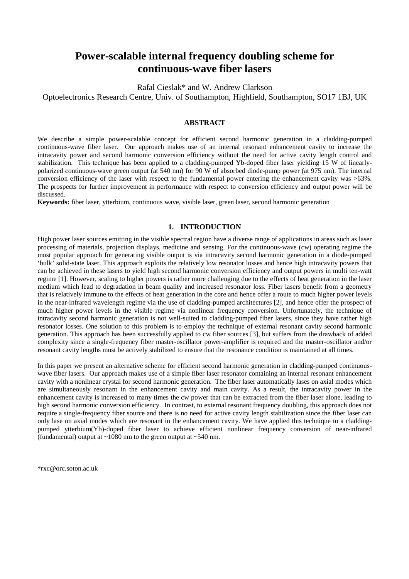# **Power-scalable internal frequency doubling scheme for continuous-wave fiber lasers**

Rafal Cieslak\* and W. Andrew Clarkson

Optoelectronics Research Centre, Univ. of Southampton, Highfield, Southampton, SO17 1BJ, UK

### **ABSTRACT**

We describe a simple power-scalable concept for efficient second harmonic generation in a cladding-pumped continuous-wave fiber laser. Our approach makes use of an internal resonant enhancement cavity to increase the intracavity power and second harmonic conversion efficiency without the need for active cavity length control and stabilization. This technique has been applied to a cladding-pumped Yb-doped fiber laser yielding 15 W of linearlypolarized continuous-wave green output (at 540 nm) for 90 W of absorbed diode-pump power (at 975 nm). The internal conversion efficiency of the laser with respect to the fundamental power entering the enhancement cavity was >63%. The prospects for further improvement in performance with respect to conversion efficiency and output power will be discussed.

**Keywords:** fiber laser, ytterbium, continuous wave, visible laser, green laser, second harmonic generation

## **1. INTRODUCTION**

High power laser sources emitting in the visible spectral region have a diverse range of applications in areas such as laser processing of materials, projection displays, medicine and sensing. For the continuous-wave (cw) operating regime the most popular approach for generating visible output is via intracavity second harmonic generation in a diode-pumped 'bulk' solid-state laser. This approach exploits the relatively low resonator losses and hence high intracavity powers that can be achieved in these lasers to yield high second harmonic conversion efficiency and output powers in multi ten-watt regime [1]. However, scaling to higher powers is rather more challenging due to the effects of heat generation in the laser medium which lead to degradation in beam quality and increased resonator loss. Fiber lasers benefit from a geometry that is relatively immune to the effects of heat generation in the core and hence offer a route to much higher power levels in the near-infrared wavelength regime via the use of cladding-pumped architectures [2], and hence offer the prospect of much higher power levels in the visible regime via nonlinear frequency conversion. Unfortunately, the technique of intracavity second harmonic generation is not well-suited to cladding-pumped fiber lasers, since they have rather high resonator losses. One solution to this problem is to employ the technique of external resonant cavity second harmonic generation. This approach has been successfully applied to cw fiber sources [3], but suffers from the drawback of added complexity since a single-frequency fiber master-oscillator power-amplifier is required and the master-oscillator and/or resonant cavity lengths must be actively stabilized to ensure that the resonance condition is maintained at all times.

In this paper we present an alternative scheme for efficient second harmonic generation in cladding-pumped continuouswave fiber lasers. Our approach makes use of a simple fiber laser resonator containing an internal resonant enhancement cavity with a nonlinear crystal for second harmonic generation. The fiber laser automatically lases on axial modes which are simultaneously resonant in the enhancement cavity and main cavity. As a result, the intracavity power in the enhancement cavity is increased to many times the cw power that can be extracted from the fiber laser alone, leading to high second harmonic conversion efficiency. In contrast, to external resonant frequency doubling, this approach does not require a single-frequency fiber source and there is no need for active cavity length stabilization since the fiber laser can only lase on axial modes which are resonant in the enhancement cavity. We have applied this technique to a claddingpumped ytterbium(Yb)-doped fiber laser to achieve efficient nonlinear frequency conversion of near-infrared (fundamental) output at  $\sim$ 1080 nm to the green output at  $\sim$ 540 nm.

\*rxc@orc.soton.ac.uk